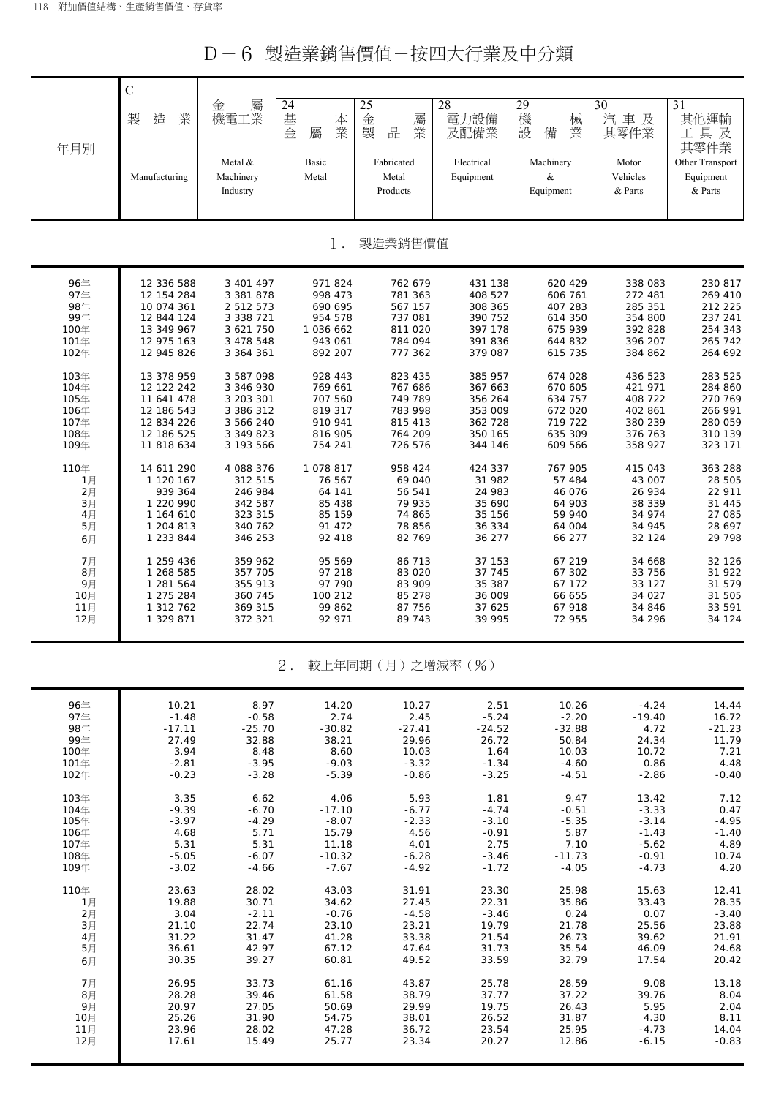D-6 製造業銷售價值-按四大行業及中分類

|            | $\mathsf{C}$             |                                  |                             |                                                    |                         |                                |                              |                                                 |
|------------|--------------------------|----------------------------------|-----------------------------|----------------------------------------------------|-------------------------|--------------------------------|------------------------------|-------------------------------------------------|
|            | 業<br>製<br>造              | 屬<br>金<br>機電工業                   | 24<br>基<br>本<br>業<br>金<br>屬 | 25<br>金<br>屬<br>製<br>業<br>$\frac{\Box}{\Box \Box}$ | 28<br>電力設備<br>及配備業      | 29<br>機<br>械<br>業<br>設<br>備    | 30<br>汽車及<br>其零件業            | $\overline{31}$<br>其他運輸<br>工具及                  |
| 年月別        | Manufacturing            | Metal &<br>Machinery<br>Industry | Basic<br>Metal              | Fabricated<br>Metal<br>Products                    | Electrical<br>Equipment | Machinery<br>$\&$<br>Equipment | Motor<br>Vehicles<br>& Parts | 其零件業<br>Other Transport<br>Equipment<br>& Parts |
|            |                          |                                  | 1.                          | 製造業銷售價值                                            |                         |                                |                              |                                                 |
| 96年        | 12 336 588               | 3 401 497                        | 971824                      | 762 679                                            | 431 138                 | 620 429                        | 338 083                      | 230 817                                         |
| 97年<br>98年 | 12 154 284<br>10 074 361 | 3 381 878<br>2 512 573           | 998 473<br>690 695          | 781 363<br>567 157                                 | 408 527<br>308 365      | 606 761<br>407 283             | 272 481<br>285 351           | 269 410<br>212 225                              |
| 99年        | 12 844 124               | 3 338 721                        | 954 578                     | 737 081                                            | 390 752                 | 614 350                        | 354 800                      | 237 241                                         |
| 100年       | 13 349 967               | 3 621 750                        | 1 036 662                   | 811 020                                            | 397 178                 | 675 939                        | 392 828                      | 254 343                                         |
| 101年       | 12 975 163               | 3 478 548                        | 943 061                     | 784 094                                            | 391 836                 | 644 832                        | 396 207                      | 265 742                                         |
| 102年       | 12 945 826               | 3 364 361                        | 892 207                     | 777 362                                            | 379 087                 | 615 735                        | 384 862                      | 264 692                                         |
| 103年       | 13 378 959               | 3 587 098                        | 928 443                     | 823 435                                            | 385 957                 | 674 028                        | 436 523                      | 283 525                                         |
| 104年       | 12 122 242               | 3 346 930                        | 769 661                     | 767 686                                            | 367 663                 | 670 605                        | 421 971                      | 284 860                                         |
| 105年       | 11 641 478               | 3 203 301                        | 707 560                     | 749 789                                            | 356 264                 | 634 757                        | 408 722                      | 270 769                                         |
| 106年       | 12 186 543               | 3 386 312                        | 819 317                     | 783 998                                            | 353 009                 | 672 020                        | 402 861                      | 266 991                                         |
| 107年       | 12 834 226               | 3 566 240                        | 910 941                     | 815 413                                            | 362 728                 | 719 722                        | 380 239                      | 280 059                                         |
| 108年       | 12 186 525               | 3 349 823                        | 816 905                     | 764 209                                            | 350 165                 | 635 309                        | 376 763                      | 310 139                                         |
| 109年       | 11 818 634               | 3 193 566                        | 754 241                     | 726 576                                            | 344 146                 | 609 566                        | 358 927                      | 323 171                                         |
| 110年       | 14 611 290               | 4 088 376                        | 1078817                     | 958 424                                            | 424 337                 | 767 905                        | 415 043                      | 363 288                                         |
| 1月         | 1 120 167                | 312 515                          | 76 567                      | 69 040                                             | 31 982                  | 57 484                         | 43 007                       | 28 505                                          |
| 2月         | 939 364                  | 246 984                          | 64 141                      | 56 541                                             | 24 983                  | 46 076                         | 26 934                       | 22 911                                          |
| 3月         | 1 220 990                | 342 587                          | 85 438                      | 79 935                                             | 35 690                  | 64 903                         | 38 339                       | 31 445                                          |
| 4月         | 1 164 610                | 323 315                          | 85 159                      | 74 865                                             | 35 156                  | 59 940                         | 34 974                       | 27 085                                          |
| 5月         | 1 204 813                | 340 762                          | 91 472                      | 78 856                                             | 36 334                  | 64 004                         | 34 945                       | 28 697                                          |
| 6月         | 1 233 844                | 346 253                          | 92 418                      | 82 769                                             | 36 277                  | 66 277                         | 32 124                       | 29 798                                          |
| 7月         | 1 259 436                | 359 962                          | 95 569                      | 86 713                                             | 37 153                  | 67 219                         | 34 668                       | 32 126                                          |
| 8月         | 1 268 585                | 357 705                          | 97 218                      | 83 0 20                                            | 37 745                  | 67 302                         | 33 756                       | 31 922                                          |
| 9月         | 1 281 564                | 355 913                          | 97 790                      | 83 909                                             | 35 387                  | 67 172                         | 33 127                       | 31 579                                          |
| 10月        | 1 275 284                | 360 745                          | 100 212                     | 85 278                                             | 36 009                  | 66 655                         | 34 027                       | 31 505                                          |
| 11月        | 1 312 762                | 369 315                          | 99 862                      | 87 756                                             | 37 625                  | 67 918                         | 34 846                       | 33 591                                          |
| 12月        | 1 329 871                | 372 321                          | 92 971                      | 89 743                                             | 39 995                  | 72 955                         | 34 296                       | 34 124                                          |
|            |                          |                                  | $2$ .                       | 較上年同期(月)之增減率(%)                                    |                         |                                |                              |                                                 |
| 96年        | 10.21                    | 8.97                             | 14.20                       | 10.27                                              | 2.51                    | 10.26                          | $-4.24$                      | 14.44                                           |
| 97年        | $-1.48$                  | $-0.58$                          | 2.74                        | 2.45                                               | $-5.24$                 | $-2.20$                        | $-19.40$                     | 16.72                                           |
| 98年        | $-17.11$                 | $-25.70$                         | $-30.82$                    | $-27.41$                                           | $-24.52$                | $-32.88$                       | 4.72                         | $-21.23$                                        |
| 99年        | 27.49                    | 32.88                            | 38.21                       | 29.96                                              | 26.72                   | 50.84                          | 24.34                        | 11.79                                           |
| 100年       | 3.94                     | 8.48                             | 8.60                        | 10.03                                              | 1.64                    | 10.03                          | 10.72                        | 7.21                                            |

| 99年  | 27.49   | 32.88   | 38.21    | 29.96   | 26.72   | 50.84    | 24.34   | 11.79   |
|------|---------|---------|----------|---------|---------|----------|---------|---------|
| 100年 | 3.94    | 8.48    | 8.60     | 10.03   | 1.64    | 10.03    | 10.72   | 7.21    |
| 101年 | $-2.81$ | $-3.95$ | $-9.03$  | $-3.32$ | $-1.34$ | $-4.60$  | 0.86    | 4.48    |
| 102年 | $-0.23$ | $-3.28$ | $-5.39$  | $-0.86$ | $-3.25$ | $-4.51$  | $-2.86$ | $-0.40$ |
| 103年 | 3.35    | 6.62    | 4.06     | 5.93    | 1.81    | 9.47     | 13.42   | 7.12    |
| 104年 | $-9.39$ | $-6.70$ | $-17.10$ | $-6.77$ | $-4.74$ | $-0.51$  | $-3.33$ | 0.47    |
| 105年 | $-3.97$ | $-4.29$ | $-8.07$  | $-2.33$ | $-3.10$ | $-5.35$  | $-3.14$ | $-4.95$ |
| 106年 | 4.68    | 5.71    | 15.79    | 4.56    | $-0.91$ | 5.87     | $-1.43$ | $-1.40$ |
| 107年 | 5.31    | 5.31    | 11.18    | 4.01    | 2.75    | 7.10     | $-5.62$ | 4.89    |
| 108年 | $-5.05$ | $-6.07$ | $-10.32$ | $-6.28$ | $-3.46$ | $-11.73$ | $-0.91$ | 10.74   |
| 109年 | $-3.02$ | $-4.66$ | $-7.67$  | $-4.92$ | $-1.72$ | $-4.05$  | $-4.73$ | 4.20    |
| 110年 | 23.63   | 28.02   | 43.03    | 31.91   | 23.30   | 25.98    | 15.63   | 12.41   |
| 1月   | 19.88   | 30.71   | 34.62    | 27.45   | 22.31   | 35.86    | 33.43   | 28.35   |
| 2月   | 3.04    | $-2.11$ | $-0.76$  | $-4.58$ | $-3.46$ | 0.24     | 0.07    | $-3.40$ |
| 3月   | 21.10   | 22.74   | 23.10    | 23.21   | 19.79   | 21.78    | 25.56   | 23.88   |
| 4月   | 31.22   | 31.47   | 41.28    | 33.38   | 21.54   | 26.73    | 39.62   | 21.91   |
| 5月   | 36.61   | 42.97   | 67.12    | 47.64   | 31.73   | 35.54    | 46.09   | 24.68   |
| 6月   | 30.35   | 39.27   | 60.81    | 49.52   | 33.59   | 32.79    | 17.54   | 20.42   |
| 7月   | 26.95   | 33.73   | 61.16    | 43.87   | 25.78   | 28.59    | 9.08    | 13.18   |
| 8月   | 28.28   | 39.46   | 61.58    | 38.79   | 37.77   | 37.22    | 39.76   | 8.04    |
| 9月   | 20.97   | 27.05   | 50.69    | 29.99   | 19.75   | 26.43    | 5.95    | 2.04    |
| 10月  | 25.26   | 31.90   | 54.75    | 38.01   | 26.52   | 31.87    | 4.30    | 8.11    |
| 11月  | 23.96   | 28.02   | 47.28    | 36.72   | 23.54   | 25.95    | $-4.73$ | 14.04   |
| 12月  | 17.61   | 15.49   | 25.77    | 23.34   | 20.27   | 12.86    | $-6.15$ | $-0.83$ |
|      |         |         |          |         |         |          |         |         |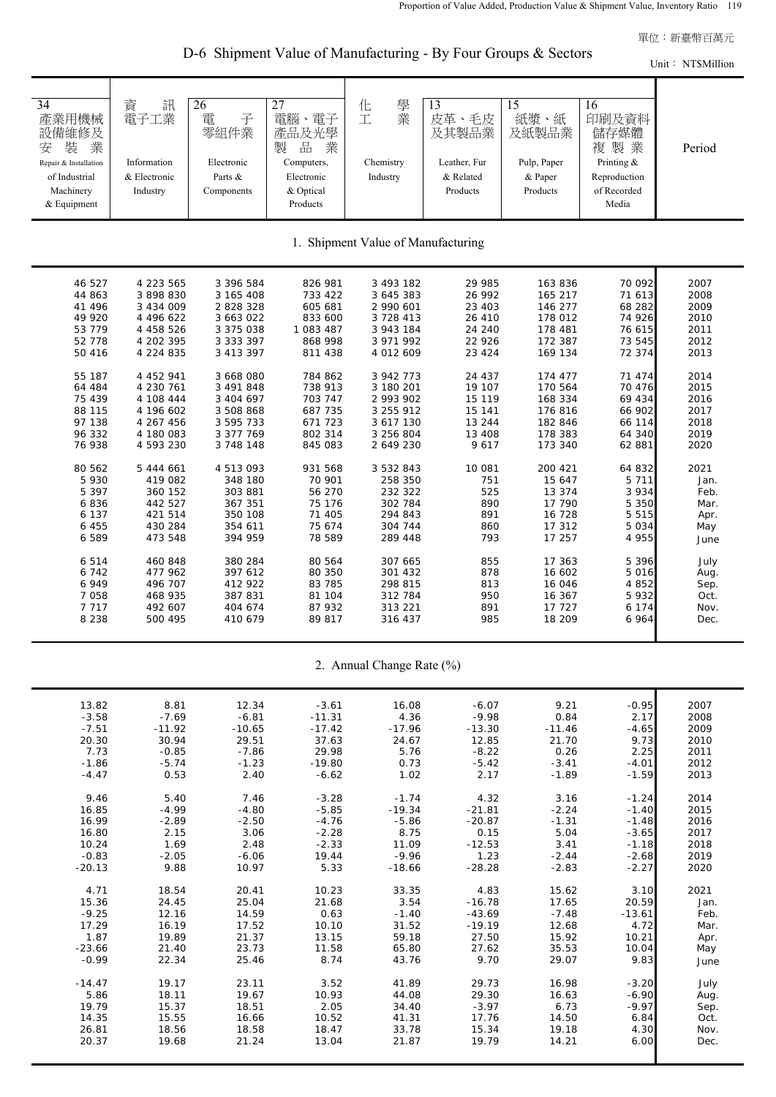單位:新臺幣百萬元

D-6 Shipment Value of Manufacturing - By Four Groups & Sectors

Unit: NT\$Million

| 34<br>產業用機械<br>設備維修及<br>業<br>安<br>装<br>Repair & Installation<br>of Industrial<br>Machinery<br>& Equipment | 訊<br>資<br>電子工業<br>Information<br>& Electronic<br>Industry | 26<br>電<br>子<br>零組件業<br>Electronic<br>Parts &<br>Components | 27<br>電腦、電子<br>產品及光學<br>製<br>品<br>業<br>Computers,<br>Electronic<br>& Optical<br>Products | 學業<br>化<br>工<br>Chemistry<br>Industry | 13<br>皮革、毛皮<br>及其製品業<br>Leather, Fur<br>& Related<br>Products | 15<br>紙漿、紙<br>及紙製品業<br>Pulp, Paper<br>& Paper<br>Products | 16<br>印刷及資料<br>儲存媒體<br>複 製 業<br>Printing &<br>Reproduction<br>of Recorded<br>Media | Period |
|-----------------------------------------------------------------------------------------------------------|-----------------------------------------------------------|-------------------------------------------------------------|------------------------------------------------------------------------------------------|---------------------------------------|---------------------------------------------------------------|-----------------------------------------------------------|------------------------------------------------------------------------------------|--------|
|                                                                                                           |                                                           |                                                             |                                                                                          | 1. Shipment Value of Manufacturing    |                                                               |                                                           |                                                                                    |        |
| 46 527                                                                                                    | 4 223 565                                                 | 3 396 584                                                   | 826 981                                                                                  | 3 493 182                             | 29 985                                                        | 163 836                                                   | 70 092                                                                             | 2007   |
| 44 863                                                                                                    | 3 898 830                                                 | 3 165 408                                                   | 733 422                                                                                  | 3 645 383                             | 26 992                                                        | 165 217                                                   | 71 613                                                                             | 2008   |
| 41 496                                                                                                    | 3 434 009                                                 | 2 828 328                                                   | 605 681                                                                                  | 2 990 601                             | 23 403                                                        | 146 277                                                   | 68 282                                                                             | 2009   |
| 49 920                                                                                                    | 4 496 622                                                 | 3 663 022                                                   | 833 600                                                                                  | 3728413                               | 26 410                                                        | 178 012                                                   | 74 926                                                                             | 2010   |
| 53 779                                                                                                    | 4 4 5 8 5 2 6                                             | 3 375 038                                                   | 1 083 487                                                                                | 3 943 184                             | 24 240                                                        | 178 481                                                   | 76 615                                                                             | 2011   |
| 52 778                                                                                                    | 4 202 395                                                 | 3 333 397                                                   | 868 998                                                                                  | 3 971 992                             | 22 9 26                                                       | 172 387                                                   | 73 545                                                                             | 2012   |
| 50 416                                                                                                    | 4 224 835                                                 | 3 413 397                                                   | 811 438                                                                                  | 4 012 609                             | 23 4 24                                                       | 169 134                                                   | 72 374                                                                             | 2013   |
| 55 187                                                                                                    | 4 452 941                                                 | 3 668 080                                                   | 784 862                                                                                  | 3 942 773                             | 24 437                                                        | 174 477                                                   | 71 474                                                                             | 2014   |
| 64 484                                                                                                    | 4 230 761                                                 | 3 491 848                                                   | 738 913                                                                                  | 3 180 201                             | 19 107                                                        | 170 564                                                   | 70 476                                                                             | 2015   |
| 75 439                                                                                                    | 4 108 444                                                 | 3 404 697                                                   | 703 747                                                                                  | 2 993 902                             | 15 119                                                        | 168 334                                                   | 69 434                                                                             | 2016   |
| 88 115                                                                                                    | 4 196 602                                                 | 3 508 868                                                   | 687 735                                                                                  | 3 255 912                             | 15 141                                                        | 176 816                                                   | 66 902                                                                             | 2017   |
| 97 138                                                                                                    | 4 267 456                                                 | 3 595 733                                                   | 671 723                                                                                  | 3 617 130                             | 13 244                                                        | 182 846                                                   | 66 114                                                                             | 2018   |
| 96 332                                                                                                    | 4 180 083                                                 | 3 377 769                                                   | 802 314                                                                                  | 3 256 804                             | 13 408                                                        | 178 383                                                   | 64 340                                                                             | 2019   |
| 76 938                                                                                                    | 4 593 230                                                 | 3 748 148                                                   | 845 083                                                                                  | 2 649 230                             | 9617                                                          | 173 340                                                   | 62 881                                                                             | 2020   |
| 80 562                                                                                                    | 5 444 661                                                 | 4 513 093                                                   | 931 568                                                                                  | 3 5 3 2 8 4 3                         | 10 081                                                        | 200 421                                                   | 64 832                                                                             | 2021   |
| 5 9 3 0                                                                                                   | 419 082                                                   | 348 180                                                     | 70 901                                                                                   | 258 350                               | 751                                                           | 15 647                                                    | 5 7 1 1                                                                            | Jan.   |
| 5 3 9 7                                                                                                   | 360 152                                                   | 303 881                                                     | 56 270                                                                                   | 232 322                               | 525                                                           | 13 374                                                    | 3 9 3 4                                                                            | Feb.   |
| 6836                                                                                                      | 442 527                                                   | 367 351                                                     | 75 176                                                                                   | 302 784                               | 890                                                           | 17 790                                                    | 5 3 5 0                                                                            | Mar.   |
| 6 137                                                                                                     | 421 514                                                   | 350 108                                                     | 71 405                                                                                   | 294 843                               | 891                                                           | 16 728                                                    | 5 5 1 5                                                                            | Apr.   |
| 6 4 5 5                                                                                                   | 430 284                                                   | 354 611                                                     | 75 674                                                                                   | 304 744                               | 860                                                           | 17 312                                                    | 5 0 3 4                                                                            | May    |
| 6 5 8 9                                                                                                   | 473 548                                                   | 394 959                                                     | 78 589                                                                                   | 289 448                               | 793                                                           | 17 257                                                    | 4 9 5 5                                                                            | June   |
| 6514                                                                                                      | 460 848                                                   | 380 284                                                     | 80 564                                                                                   | 307 665                               | 855                                                           | 17 363                                                    | 5 3 9 6                                                                            | July   |
| 6742                                                                                                      | 477 962                                                   | 397 612                                                     | 80 350                                                                                   | 301 432                               | 878                                                           | 16 602                                                    | 5 0 1 6                                                                            | Aug.   |
| 6949                                                                                                      | 496 707                                                   | 412 922                                                     | 83 785                                                                                   | 298 815                               | 813                                                           | 16 046                                                    | 4 8 5 2                                                                            | Sep.   |
| 7 0 5 8                                                                                                   | 468 935                                                   | 387 831                                                     | 81 104                                                                                   | 312 784                               | 950                                                           | 16 367                                                    | 5932                                                                               | Oct.   |
| 7 7 1 7                                                                                                   | 492 607                                                   | 404 674                                                     | 87 932                                                                                   | 313 221                               | 891                                                           | 17 727                                                    | 6 1 7 4                                                                            | Nov.   |
| 8 2 3 8                                                                                                   | 500 495                                                   | 410 679                                                     | 89 817                                                                                   | 316 437                               | 985                                                           | 18 209                                                    | 6 9 6 4                                                                            | Dec.   |
|                                                                                                           |                                                           |                                                             |                                                                                          | 2. Annual Change Rate (%)             |                                                               |                                                           |                                                                                    |        |
| 13.82                                                                                                     | 8.81                                                      | 12.34                                                       | $-3.61$                                                                                  | 16.08                                 | $-6.07$                                                       | 9.21                                                      | $-0.95$                                                                            | 2007   |
| $-3.58$                                                                                                   | $-7.69$                                                   | $-6.81$                                                     | $-11.31$                                                                                 | 4.36                                  | $-9.98$                                                       | 0.84                                                      | 2.17                                                                               | 2008   |
| $-7.51$                                                                                                   | $-11.92$                                                  | $-10.65$                                                    | $-17.42$                                                                                 | $-17.96$                              | $-13.30$                                                      | $-11.46$                                                  | $-4.65$                                                                            | 2009   |
| 20.30                                                                                                     | 30.94                                                     | 29.51                                                       | 37.63                                                                                    | 24.67                                 | 12.85                                                         | 21.70                                                     | 9.73                                                                               | 2010   |
| 7.73                                                                                                      | $-0.85$                                                   | $-7.86$                                                     | 29.98                                                                                    | 5.76                                  | $-8.22$                                                       | 0.26                                                      | 2.25                                                                               | 2011   |
| $-1.86$                                                                                                   | $-5.74$                                                   | $-1.23$                                                     | $-19.80$                                                                                 | 0.73                                  | $-5.42$                                                       | $-3.41$                                                   | $-4.01$                                                                            | 2012   |
| $-4.47$                                                                                                   | 0.53                                                      | 2.40                                                        | $-6.62$                                                                                  | 1.02                                  | 2.17                                                          | $-1.89$                                                   | $-1.59$                                                                            | 2013   |
| 9.46                                                                                                      | 5.40                                                      | 7.46                                                        | $-3.28$                                                                                  | $-1.74$                               | 4.32                                                          | 3.16                                                      | $-1.24$                                                                            | 2014   |
| 16.85                                                                                                     | $-4.99$                                                   | $-4.80$                                                     | $-5.85$                                                                                  | $-19.34$                              | $-21.81$                                                      | $-2.24$                                                   | $-1.40$                                                                            | 2015   |
| 16.99                                                                                                     | $-2.89$                                                   | $-2.50$                                                     | $-4.76$                                                                                  | $-5.86$                               | $-20.87$                                                      | $-1.31$                                                   | $-1.48$                                                                            | 2016   |
| 16.80                                                                                                     | 2.15                                                      | 3.06                                                        | $-2.28$                                                                                  | 8.75                                  | 0.15                                                          | 5.04                                                      | $-3.65$                                                                            | 2017   |
| 10.24                                                                                                     | 1.69                                                      | 2.48                                                        | $-2.33$                                                                                  | 11.09                                 | $-12.53$                                                      | 3.41                                                      | $-1.18$                                                                            | 2018   |
| $-0.83$                                                                                                   | $-2.05$                                                   | $-6.06$                                                     | 19.44                                                                                    | $-9.96$                               | 1.23                                                          | $-2.44$                                                   | $-2.68$                                                                            | 2019   |
| $-20.13$                                                                                                  | 9.88                                                      | 10.97                                                       | 5.33                                                                                     | $-18.66$                              | $-28.28$                                                      | $-2.83$                                                   | $-2.27$                                                                            | 2020   |
| 4.71                                                                                                      | 18.54                                                     | 20.41                                                       | 10.23                                                                                    | 33.35                                 | 4.83                                                          | 15.62                                                     | 3.10                                                                               | 2021   |
| 15.36                                                                                                     | 24.45                                                     | 25.04                                                       | 21.68                                                                                    | 3.54                                  | $-16.78$                                                      | 17.65                                                     | 20.59                                                                              | Jan.   |
| $-9.25$                                                                                                   | 12.16                                                     | 14.59                                                       | 0.63                                                                                     | $-1.40$                               | $-43.69$                                                      | $-7.48$                                                   | $-13.61$                                                                           | Feb.   |
| 17.29                                                                                                     | 16.19                                                     | 17.52                                                       | 10.10                                                                                    | 31.52                                 | $-19.19$                                                      | 12.68                                                     | 4.72                                                                               | Mar.   |
| 1.87                                                                                                      | 19.89                                                     | 21.37                                                       | 13.15                                                                                    | 59.18                                 | 27.50                                                         | 15.92                                                     | 10.21                                                                              | Apr.   |
| $-23.66$                                                                                                  | 21.40                                                     | 23.73                                                       | 11.58                                                                                    | 65.80                                 | 27.62                                                         | 35.53                                                     | 10.04                                                                              | May    |
| $-0.99$                                                                                                   | 22.34                                                     | 25.46                                                       | 8.74                                                                                     | 43.76                                 | 9.70                                                          | 29.07                                                     | 9.83                                                                               | June   |
| $-14.47$                                                                                                  | 19.17                                                     | 23.11                                                       | 3.52                                                                                     | 41.89                                 | 29.73                                                         | 16.98                                                     | $-3.20$                                                                            | July   |
| 5.86                                                                                                      | 18.11                                                     | 19.67                                                       | 10.93                                                                                    | 44.08                                 | 29.30                                                         | 16.63                                                     | $-6.90$                                                                            | Aug.   |
| 19.79                                                                                                     | 15.37                                                     | 18.51                                                       | 2.05                                                                                     | 34.40                                 | $-3.97$                                                       | 6.73                                                      | $-9.97$                                                                            | Sep.   |
| 14.35                                                                                                     | 15.55                                                     | 16.66                                                       | 10.52                                                                                    | 41.31                                 | 17.76                                                         | 14.50                                                     | 6.84                                                                               | Oct.   |
| 26.81                                                                                                     | 18.56                                                     | 18.58                                                       | 18.47                                                                                    | 33.78                                 | 15.34                                                         | 19.18                                                     | 4.30                                                                               | Nov.   |
| 20.37                                                                                                     | 19.68                                                     | 21.24                                                       | 13.04                                                                                    | 21.87                                 | 19.79                                                         | 14.21                                                     | 6.00                                                                               | Dec.   |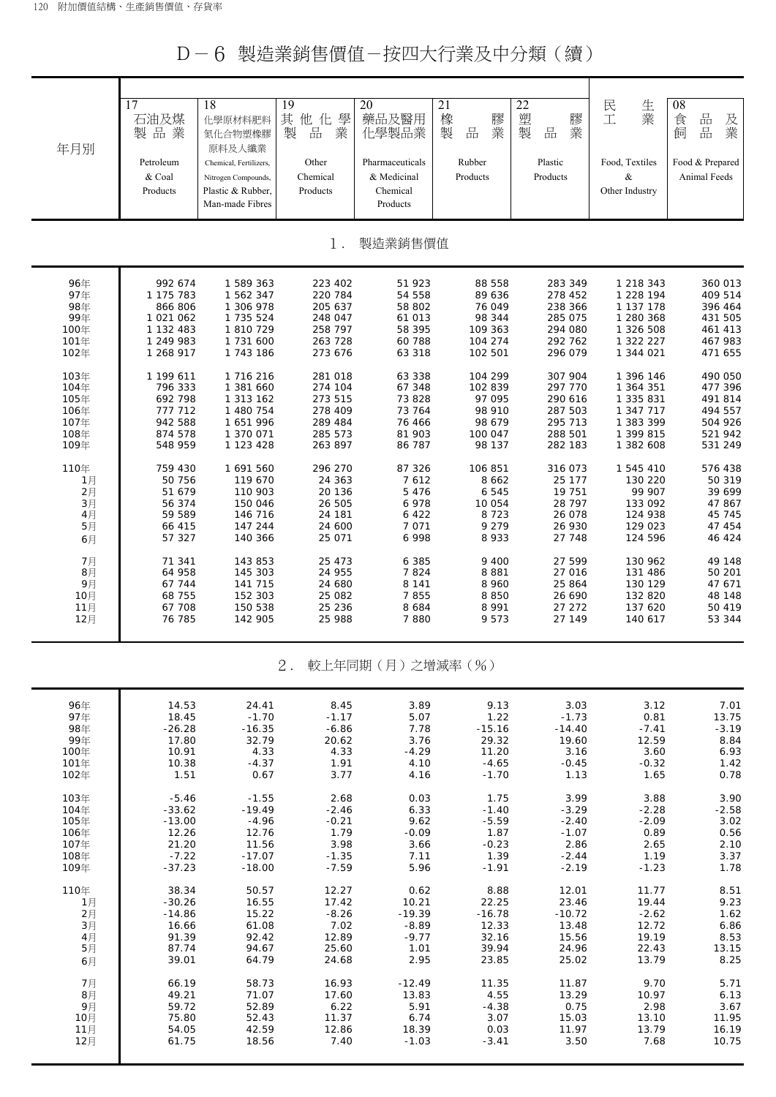D-6 製造業銷售價值-按四大行業及中分類(續)

| 年月別          | 17<br>石油及煤<br>製品業    | 18<br>化學原材料肥料<br>氮化合物塑橡膠<br>原料及人纖業 | 19<br>其<br>學<br>他<br>化<br>製<br>業<br>品 | 20<br>藥品及醫用<br>化學製品業 | 21<br>橡<br>膠<br>業<br>製<br>品 | 22<br>塑<br>膠<br>業<br>製<br>品 | 生<br>民<br>業<br>工       | 08<br>品<br>食<br>及<br>品<br>業<br>飼 |
|--------------|----------------------|------------------------------------|---------------------------------------|----------------------|-----------------------------|-----------------------------|------------------------|----------------------------------|
|              | Petroleum            | Chemical, Fertilizers,             | Other                                 | Pharmaceuticals      | Rubber                      | Plastic                     | Food, Textiles         | Food & Prepared                  |
|              | & Coal               | Nitrogen Compounds,                | Chemical                              | & Medicinal          | Products                    | Products                    | &                      | Animal Feeds                     |
|              | Products             | Plastic & Rubber,                  | Products                              | Chemical             |                             |                             | Other Industry         |                                  |
|              |                      | Man-made Fibres                    |                                       | Products             |                             |                             |                        |                                  |
|              |                      |                                    | $1$ .                                 | 製造業銷售價值              |                             |                             |                        |                                  |
|              |                      |                                    |                                       |                      |                             |                             |                        |                                  |
| 96年<br>97年   | 992 674<br>1 175 783 | 1 589 363<br>1 562 347             | 223 402<br>220 784                    | 51 923<br>54 558     | 88 558<br>89 636            | 283 349<br>278 452          | 1 218 343<br>1 228 194 | 360 013<br>409 514               |
| 98年          | 866 806              | 1 306 978                          | 205 637                               | 58 802               | 76 049                      | 238 366                     | 1 137 178              | 396 464                          |
| 99年          | 1 021 062            | 1 735 524                          | 248 047                               | 61 013               | 98 344                      | 285 075                     | 1 280 368              | 431 505                          |
| 100年         | 1 132 483            | 1 810 729                          | 258 797                               | 58 395               | 109 363                     | 294 080                     | 1 326 508              | 461 413                          |
| 101年         | 1 249 983            | 1 731 600                          | 263 728                               | 60 788               | 104 274                     | 292 762                     | 1 322 227              | 467 983                          |
| 102年         | 1 268 917            | 1 743 186                          | 273 676                               | 63 318               | 102 501                     | 296 079                     | 1 344 021              | 471 655                          |
| 103年         | 1 199 611            | 1 716 216                          | 281 018                               | 63 338               | 104 299                     | 307 904                     | 1 396 146              | 490 050                          |
| 104年         | 796 333              | 1 381 660                          | 274 104                               | 67 348               | 102 839                     | 297 770                     | 1 364 351              | 477 396                          |
| 105年         | 692 798              | 1 313 162                          | 273 515                               | 73 828               | 97 095                      | 290 616                     | 1 335 831              | 491 814                          |
| 106年         | 777 712              | 1 480 754                          | 278 409                               | 73 764               | 98 910                      | 287 503                     | 1 347 717              | 494 557                          |
| 107年<br>108年 | 942 588<br>874 578   | 1651996<br>1 370 071               | 289 484<br>285 573                    | 76 466<br>81 903     | 98 679<br>100 047           | 295 713<br>288 501          | 1 383 399<br>1 399 815 | 504 926<br>521 942               |
| 109年         | 548 959              | 1 123 428                          | 263 897                               | 86 787               | 98 137                      | 282 183                     | 1 382 608              | 531 249                          |
| 110年         | 759 430              | 1 691 560                          | 296 270                               | 87 326               | 106 851                     | 316 073                     | 1 545 410              | 576 438                          |
| 1月           | 50 756               | 119 670                            | 24 363                                | 7612                 | 8 6 6 2                     | 25 177                      | 130 220                | 50 319                           |
| 2月           | 51 679               | 110 903                            | 20 136                                | 5 4 7 6              | 6 5 4 5                     | 19 751                      | 99 907                 | 39 699                           |
| 3月<br>4月     | 56 374<br>59 589     | 150 046<br>146 716                 | 26 505<br>24 181                      | 6978<br>6 4 2 2      | 10 054<br>8723              | 28 797<br>26 078            | 133 092<br>124 938     | 47 867<br>45 745                 |
| 5月           | 66 415               | 147 244                            | 24 600                                | 7 0 7 1              | 9 2 7 9                     | 26 930                      | 129 023                | 47 454                           |
| 6月           | 57 327               | 140 366                            | 25 071                                | 6 9 9 8              | 8933                        | 27 748                      | 124 596                | 46 424                           |
| 7月           | 71 341               | 143 853                            | 25 473                                | 6 3 8 5              | 9 4 0 0                     | 27 599                      | 130 962                | 49 148                           |
| 8月           | 64 958               | 145 303                            | 24 955                                | 7824                 | 8881                        | 27 016                      | 131 486                | 50 201                           |
| 9月           | 67 744               | 141 715                            | 24 680                                | 8 1 4 1              | 8 9 6 0                     | 25 864                      | 130 129                | 47 671                           |
| 10月          | 68 755               | 152 303                            | 25 082                                | 7855                 | 8850                        | 26 690                      | 132 820                | 48 148                           |
| 11月<br>12月   | 67 708<br>76 785     | 150 538<br>142 905                 | 25 236<br>25 988                      | 8 6 8 4<br>7880      | 8 9 9 1<br>9573             | 27 27 2<br>27 149           | 137 620<br>140 617     | 50 419<br>53 344                 |
|              |                      |                                    |                                       |                      |                             |                             |                        |                                  |
|              |                      |                                    | 2.                                    | 較上年同期(月)之增減率(%)      |                             |                             |                        |                                  |
|              |                      |                                    |                                       |                      |                             |                             |                        |                                  |

| 96年  | 14.53    | 24.41    | 8.45    | 3.89     | 9.13     | 3.03     | 3.12    | 7.01    |
|------|----------|----------|---------|----------|----------|----------|---------|---------|
| 97年  | 18.45    | $-1.70$  | $-1.17$ | 5.07     | 1.22     | $-1.73$  | 0.81    | 13.75   |
| 98年  | $-26.28$ | $-16.35$ | $-6.86$ | 7.78     | $-15.16$ | $-14.40$ | $-7.41$ | $-3.19$ |
| 99年  | 17.80    | 32.79    | 20.62   | 3.76     | 29.32    | 19.60    | 12.59   | 8.84    |
| 100年 | 10.91    | 4.33     | 4.33    | $-4.29$  | 11.20    | 3.16     | 3.60    | 6.93    |
| 101年 | 10.38    | $-4.37$  | 1.91    | 4.10     | $-4.65$  | $-0.45$  | $-0.32$ | 1.42    |
| 102年 | 1.51     | 0.67     | 3.77    | 4.16     | $-1.70$  | 1.13     | 1.65    | 0.78    |
| 103年 | $-5.46$  | $-1.55$  | 2.68    | 0.03     | 1.75     | 3.99     | 3.88    | 3.90    |
| 104年 | $-33.62$ | $-19.49$ | $-2.46$ | 6.33     | $-1.40$  | $-3.29$  | $-2.28$ | $-2.58$ |
| 105年 | $-13.00$ | $-4.96$  | $-0.21$ | 9.62     | $-5.59$  | $-2.40$  | $-2.09$ | 3.02    |
| 106年 | 12.26    | 12.76    | 1.79    | $-0.09$  | 1.87     | $-1.07$  | 0.89    | 0.56    |
| 107年 | 21.20    | 11.56    | 3.98    | 3.66     | $-0.23$  | 2.86     | 2.65    | 2.10    |
| 108年 | $-7.22$  | $-17.07$ | $-1.35$ | 7.11     | 1.39     | $-2.44$  | 1.19    | 3.37    |
| 109年 | $-37.23$ | $-18.00$ | $-7.59$ | 5.96     | $-1.91$  | $-2.19$  | $-1.23$ | 1.78    |
| 110年 | 38.34    | 50.57    | 12.27   | 0.62     | 8.88     | 12.01    | 11.77   | 8.51    |
| 1月   | $-30.26$ | 16.55    | 17.42   | 10.21    | 22.25    | 23.46    | 19.44   | 9.23    |
| 2月   | $-14.86$ | 15.22    | $-8.26$ | $-19.39$ | $-16.78$ | $-10.72$ | $-2.62$ | 1.62    |
| 3月   | 16.66    | 61.08    | 7.02    | $-8.89$  | 12.33    | 13.48    | 12.72   | 6.86    |
| 4月   | 91.39    | 92.42    | 12.89   | $-9.77$  | 32.16    | 15.56    | 19.19   | 8.53    |
| 5月   | 87.74    | 94.67    | 25.60   | 1.01     | 39.94    | 24.96    | 22.43   | 13.15   |
| 6月   | 39.01    | 64.79    | 24.68   | 2.95     | 23.85    | 25.02    | 13.79   | 8.25    |
| 7月   | 66.19    | 58.73    | 16.93   | $-12.49$ | 11.35    | 11.87    | 9.70    | 5.71    |
| 8月   | 49.21    | 71.07    | 17.60   | 13.83    | 4.55     | 13.29    | 10.97   | 6.13    |
| 9月   | 59.72    | 52.89    | 6.22    | 5.91     | $-4.38$  | 0.75     | 2.98    | 3.67    |
| 10月  | 75.80    | 52.43    | 11.37   | 6.74     | 3.07     | 15.03    | 13.10   | 11.95   |
| 11月  | 54.05    | 42.59    | 12.86   | 18.39    | 0.03     | 11.97    | 13.79   | 16.19   |
| 12月  | 61.75    | 18.56    | 7.40    | $-1.03$  | $-3.41$  | 3.50     | 7.68    | 10.75   |
|      |          |          |         |          |          |          |         |         |